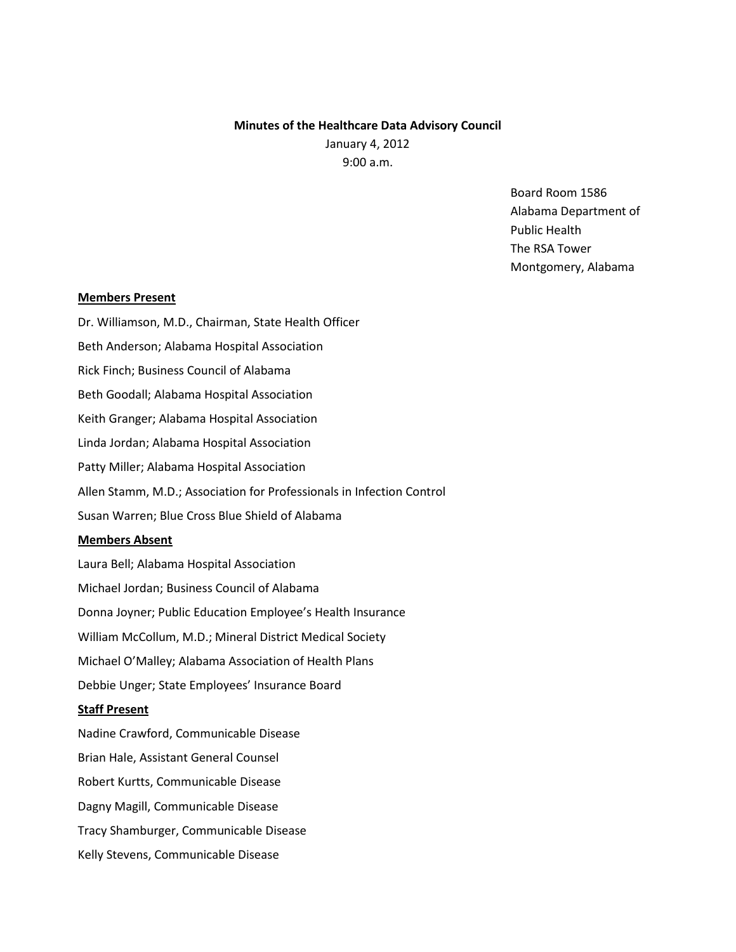# **Minutes of the Healthcare Data Advisory Council** January 4, 2012 9:00 a.m.

Board Room 1586 Alabama Department of Public Health The RSA Tower Montgomery, Alabama

## **Members Present**

Dr. Williamson, M.D., Chairman, State Health Officer Beth Anderson; Alabama Hospital Association Rick Finch; Business Council of Alabama Beth Goodall; Alabama Hospital Association Keith Granger; Alabama Hospital Association Linda Jordan; Alabama Hospital Association Patty Miller; Alabama Hospital Association Allen Stamm, M.D.; Association for Professionals in Infection Control Susan Warren; Blue Cross Blue Shield of Alabama **Members Absent** Laura Bell; Alabama Hospital Association Michael Jordan; Business Council of Alabama Donna Joyner; Public Education Employee's Health Insurance William McCollum, M.D.; Mineral District Medical Society Michael O'Malley; Alabama Association of Health Plans

Debbie Unger; State Employees' Insurance Board

# **Staff Present**

Nadine Crawford, Communicable Disease Brian Hale, Assistant General Counsel Robert Kurtts, Communicable Disease Dagny Magill, Communicable Disease Tracy Shamburger, Communicable Disease Kelly Stevens, Communicable Disease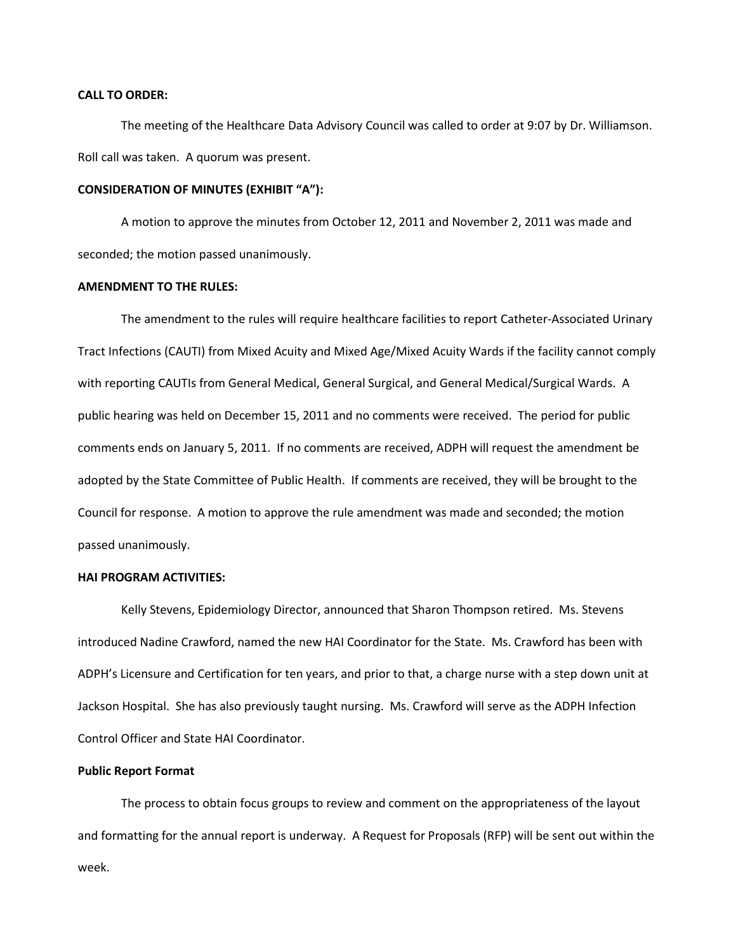# **CALL TO ORDER:**

The meeting of the Healthcare Data Advisory Council was called to order at 9:07 by Dr. Williamson. Roll call was taken. A quorum was present.

#### **CONSIDERATION OF MINUTES (EXHIBIT "A"):**

A motion to approve the minutes from October 12, 2011 and November 2, 2011 was made and seconded; the motion passed unanimously.

# **AMENDMENT TO THE RULES:**

The amendment to the rules will require healthcare facilities to report Catheter-Associated Urinary Tract Infections (CAUTI) from Mixed Acuity and Mixed Age/Mixed Acuity Wards if the facility cannot comply with reporting CAUTIs from General Medical, General Surgical, and General Medical/Surgical Wards. A public hearing was held on December 15, 2011 and no comments were received. The period for public comments ends on January 5, 2011. If no comments are received, ADPH will request the amendment be adopted by the State Committee of Public Health. If comments are received, they will be brought to the Council for response. A motion to approve the rule amendment was made and seconded; the motion passed unanimously.

#### **HAI PROGRAM ACTIVITIES:**

Kelly Stevens, Epidemiology Director, announced that Sharon Thompson retired. Ms. Stevens introduced Nadine Crawford, named the new HAI Coordinator for the State. Ms. Crawford has been with ADPH's Licensure and Certification for ten years, and prior to that, a charge nurse with a step down unit at Jackson Hospital. She has also previously taught nursing. Ms. Crawford will serve as the ADPH Infection Control Officer and State HAI Coordinator.

#### **Public Report Format**

The process to obtain focus groups to review and comment on the appropriateness of the layout and formatting for the annual report is underway. A Request for Proposals (RFP) will be sent out within the week.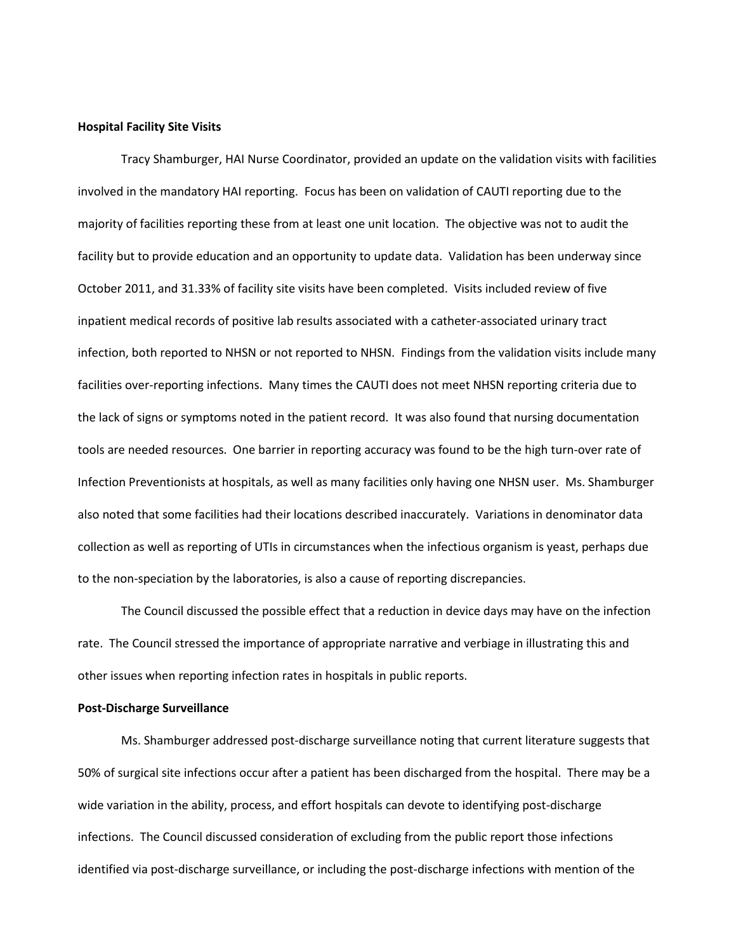#### **Hospital Facility Site Visits**

Tracy Shamburger, HAI Nurse Coordinator, provided an update on the validation visits with facilities involved in the mandatory HAI reporting. Focus has been on validation of CAUTI reporting due to the majority of facilities reporting these from at least one unit location. The objective was not to audit the facility but to provide education and an opportunity to update data. Validation has been underway since October 2011, and 31.33% of facility site visits have been completed. Visits included review of five inpatient medical records of positive lab results associated with a catheter-associated urinary tract infection, both reported to NHSN or not reported to NHSN. Findings from the validation visits include many facilities over-reporting infections. Many times the CAUTI does not meet NHSN reporting criteria due to the lack of signs or symptoms noted in the patient record. It was also found that nursing documentation tools are needed resources. One barrier in reporting accuracy was found to be the high turn-over rate of Infection Preventionists at hospitals, as well as many facilities only having one NHSN user. Ms. Shamburger also noted that some facilities had their locations described inaccurately. Variations in denominator data collection as well as reporting of UTIs in circumstances when the infectious organism is yeast, perhaps due to the non-speciation by the laboratories, is also a cause of reporting discrepancies.

The Council discussed the possible effect that a reduction in device days may have on the infection rate. The Council stressed the importance of appropriate narrative and verbiage in illustrating this and other issues when reporting infection rates in hospitals in public reports.

# **Post-Discharge Surveillance**

Ms. Shamburger addressed post-discharge surveillance noting that current literature suggests that 50% of surgical site infections occur after a patient has been discharged from the hospital. There may be a wide variation in the ability, process, and effort hospitals can devote to identifying post-discharge infections. The Council discussed consideration of excluding from the public report those infections identified via post-discharge surveillance, or including the post-discharge infections with mention of the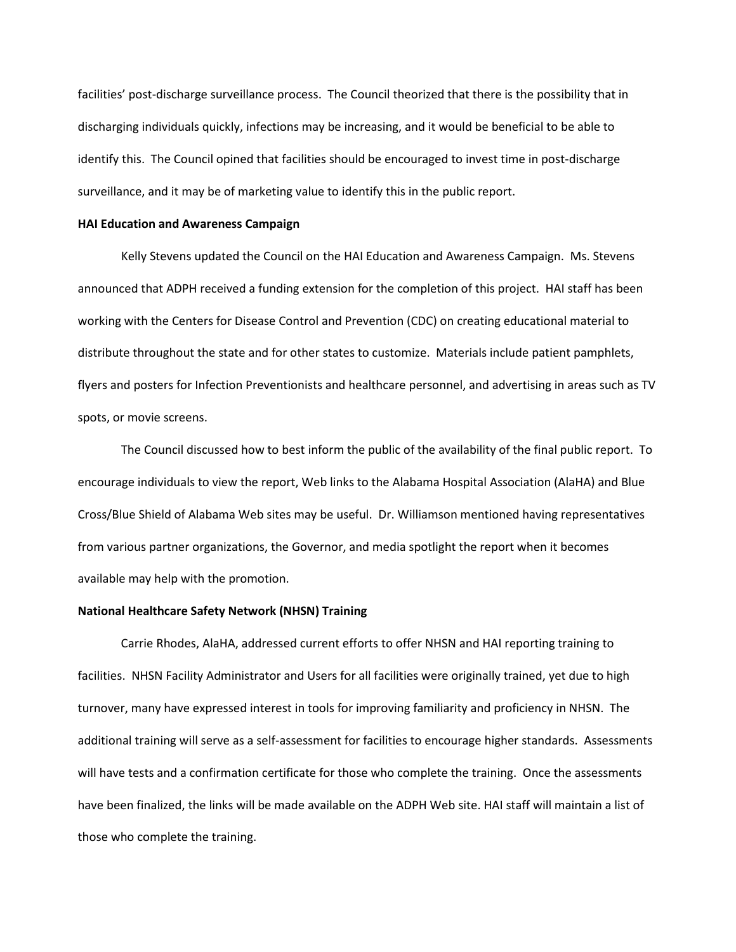facilities' post-discharge surveillance process. The Council theorized that there is the possibility that in discharging individuals quickly, infections may be increasing, and it would be beneficial to be able to identify this. The Council opined that facilities should be encouraged to invest time in post-discharge surveillance, and it may be of marketing value to identify this in the public report.

### **HAI Education and Awareness Campaign**

Kelly Stevens updated the Council on the HAI Education and Awareness Campaign. Ms. Stevens announced that ADPH received a funding extension for the completion of this project. HAI staff has been working with the Centers for Disease Control and Prevention (CDC) on creating educational material to distribute throughout the state and for other states to customize. Materials include patient pamphlets, flyers and posters for Infection Preventionists and healthcare personnel, and advertising in areas such as TV spots, or movie screens.

The Council discussed how to best inform the public of the availability of the final public report. To encourage individuals to view the report, Web links to the Alabama Hospital Association (AlaHA) and Blue Cross/Blue Shield of Alabama Web sites may be useful. Dr. Williamson mentioned having representatives from various partner organizations, the Governor, and media spotlight the report when it becomes available may help with the promotion.

# **National Healthcare Safety Network (NHSN) Training**

Carrie Rhodes, AlaHA, addressed current efforts to offer NHSN and HAI reporting training to facilities. NHSN Facility Administrator and Users for all facilities were originally trained, yet due to high turnover, many have expressed interest in tools for improving familiarity and proficiency in NHSN. The additional training will serve as a self-assessment for facilities to encourage higher standards. Assessments will have tests and a confirmation certificate for those who complete the training. Once the assessments have been finalized, the links will be made available on the ADPH Web site. HAI staff will maintain a list of those who complete the training.